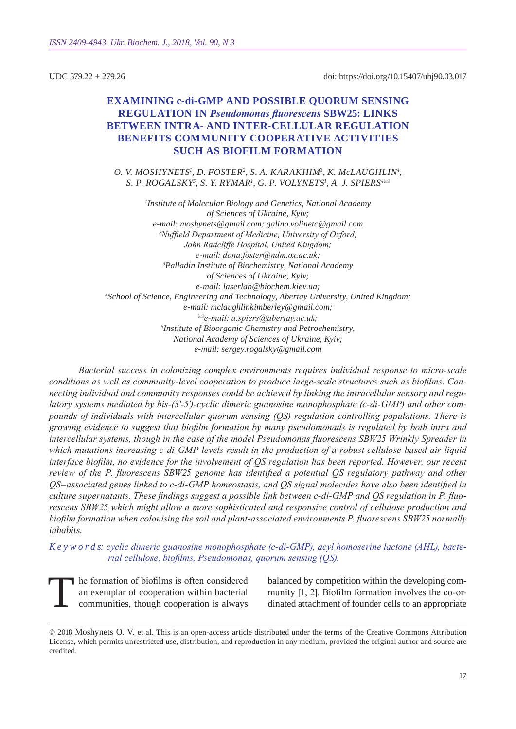UDC 579.22 + 279.26

doi: https://doi.org/10.15407/ubj90.03.017

# **EXAMINING c-di-GMP AND POSSIBLE QUORUM SENSING regulation in** *Pseudomonas fluorescens* **SBW25: links BETWEEN INTRA- AND INTER-CELLULAR REGULATION benefits community cooperative activities such as biofilm formation**

*O. V. Mos hynets1 , D. Fos ter2 , S. A. Karak him <sup>3</sup> , K. McLaughlin <sup>4</sup> ,*  $S.$  *P. ROGALSKY* $^5$ *, S. Y. RYMAR<sup>1</sup>, G. P. VOLYNETS<sup>1</sup>, A. J. SPIERS* $^{4\boxtimes}$ 

*1 Institute of Molecular Biology and Genetics, National Academy of Sciences of Ukraine, Kyiv; e-mail: moshynets@gmail.com; galina.volinetc@gmail.com 2 Nuffield Department of Medicine, University of Oxford, John Radcliffe Hospital, United Kingdom; e-mail: dona.foster@ndm.ox.ac.uk; 3 Palladin Institute of Biochemistry, National Academy of Sciences of Ukraine, Kyiv; e-mail: laserlab@biochem.kiev.ua; 4 School of Science, Engineering and Technology, Abertay University, United Kingdom; e-mail: mclaughlinkimberley@gmail.com; e-mail: a.spiers@abertay.ac.uk; 5 Institute of Bioorganic Chemistry and Petrochemistry, National Academy of Sciences of Ukraine, Kyiv; e-mail: sergey.rogalsky@gmail.com*

*Bacterial success in colonizing complex environments requires individual response to micro-scale conditions as well as community-level cooperation to produce large-scale structures such as biofilms. Connecting individual and community responses could be achieved by linking the intracellular sensory and regulatory systems mediated by bis-(3′-5′)-cyclic dimeric guanosine monophosphate (c-di-GMP) and other compounds of individuals with intercellular quorum sensing (QS) regulation controlling populations. There is growing evidence to suggest that biofilm formation by many pseudomonads is regulated by both intra and intercellular systems, though in the case of the model Pseudomonas fluorescens SBW25 Wrinkly Spreader in which mutations increasing c-di-GMP levels result in the production of a robust cellulose-based air-liquid interface biofilm, no evidence for the involvement of QS regulation has been reported. However, our recent review of the P. fluorescens SBW25 genome has identified a potential QS regulatory pathway and other QS–associated genes linked to c-di-GMP homeostasis, and QS signal molecules have also been identified in culture supernatants. These findings suggest a possible link between c-di-GMP and QS regulation in P. fluorescens SBW25 which might allow a more sophisticated and responsive control of cellulose production and biofilm formation when colonising the soil and plant-associated environments P. fluorescens SBW25 normally inhabits.*

*K e y w o r d s: cyclic dimeric guanosine monophosphate (c-di-GMP), acyl homoserine lactone (AHL), bacterial cellulose, biofilms, Pseudomonas, quorum sensing (QS).*

The formation of biofilms is often considered an exemplar of cooperation within bacterial communities, though cooperation is always

balanced by competition within the developing community [1, 2]. Biofilm formation involves the co-ordinated attachment of founder cells to an appropriate

<sup>© 2018</sup> Moshynets O. V. et al. This is an open-access article distributed under the terms of the Creative Commons Attribution License, which permits unrestricted use, distribution, and reproduction in any medium, provided the original author and source are credited.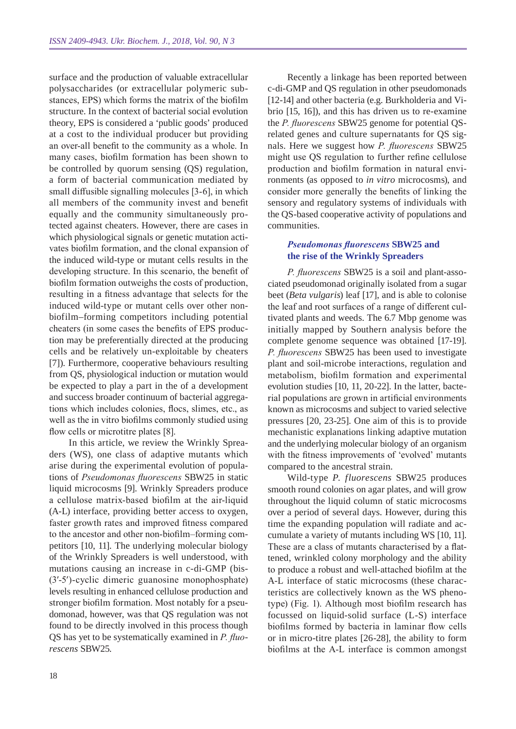surface and the production of valuable extracellular polysaccharides (or extracellular polymeric substances, EPS) which forms the matrix of the biofilm structure. In the context of bacterial social evolution theory, EPS is considered a 'public goods' produced at a cost to the individual producer but providing an over-all benefit to the community as a whole. In many cases, biofilm formation has been shown to be controlled by quorum sensing (QS) regulation, a form of bacterial communication mediated by small diffusible signalling molecules [3-6], in which all members of the community invest and benefit equally and the community simultaneously protected against cheaters. However, there are cases in which physiological signals or genetic mutation activates biofilm formation, and the clonal expansion of the induced wild-type or mutant cells results in the developing structure. In this scenario, the benefit of biofilm formation outweighs the costs of production, resulting in a fitness advantage that selects for the induced wild-type or mutant cells over other nonbiofilm–forming competitors including potential cheaters (in some cases the benefits of EPS production may be preferentially directed at the producing cells and be relatively un-exploitable by cheaters [7]). Furthermore, cooperative behaviours resulting from QS, physiological induction or mutation would be expected to play a part in the of a development and success broader continuum of bacterial aggregations which includes colonies, flocs, slimes, etc., as well as the in vitro biofilms commonly studied using flow cells or microtitre plates [8].

In this article, we review the Wrinkly Spreaders (WS), one class of adaptive mutants which arise during the experimental evolution of populations of *Pseudomonas fluorescens* SBW25 in static liquid microcosms [9]. Wrinkly Spreaders produce a cellulose matrix-based biofilm at the air-liquid (A-L) interface, providing better access to oxygen, faster growth rates and improved fitness compared to the ancestor and other non-biofilm–forming competitors [10, 11]. The underlying molecular biology of the Wrinkly Spreaders is well understood, with mutations causing an increase in c-di-GMP (bis- (3′-5′)-cyclic dimeric guanosine monophosphate) levels resulting in enhanced cellulose production and stronger biofilm formation. Most notably for a pseudomonad, however, was that QS regulation was not found to be directly involved in this process though QS has yet to be systematically examined in *P. fluorescens* SBW25.

Recently a linkage has been reported between c-di-GMP and QS regulation in other pseudomonads [12-14] and other bacteria (e.g. Burkholderia and Vibrio [15, 16]), and this has driven us to re-examine the *P. fluorescens* SBW25 genome for potential QSrelated genes and culture supernatants for QS signals. Here we suggest how *P. fluorescens* SBW25 might use QS regulation to further refine cellulose production and biofilm formation in natural environments (as opposed to *in vitro* microcosms), and consider more generally the benefits of linking the sensory and regulatory systems of individuals with the QS-based cooperative activity of populations and communities.

#### *Pseudomonas fluorescens* **SBW25 and the rise of the Wrinkly Spreaders**

*P. fluorescens* SBW25 is a soil and plant-associated pseudomonad originally isolated from a sugar beet (*Beta vulgaris*) leaf [17], and is able to colonise the leaf and root surfaces of a range of different cultivated plants and weeds. The 6.7 Mbp genome was initially mapped by Southern analysis before the complete genome sequence was obtained [17-19]. *P. fluorescens* SBW25 has been used to investigate plant and soil-microbe interactions, regulation and metabolism, biofilm formation and experimental evolution studies [10, 11, 20-22]. In the latter, bacterial populations are grown in artificial environments known as microcosms and subject to varied selective pressures [20, 23-25]. One aim of this is to provide mechanistic explanations linking adaptive mutation and the underlying molecular biology of an organism with the fitness improvements of 'evolved' mutants compared to the ancestral strain.

Wild-type *P. fluorescens* SBW25 produces smooth round colonies on agar plates, and will grow throughout the liquid column of static microcosms over a period of several days. However, during this time the expanding population will radiate and accumulate a variety of mutants including WS [10, 11]. These are a class of mutants characterised by a flattened, wrinkled colony morphology and the ability to produce a robust and well-attached biofilm at the A-L interface of static microcosms (these characteristics are collectively known as the WS phenotype) (Fig. 1). Although most biofilm research has focussed on liquid-solid surface (L-S) interface biofilms formed by bacteria in laminar flow cells or in micro-titre plates [26-28], the ability to form biofilms at the A-L interface is common amongst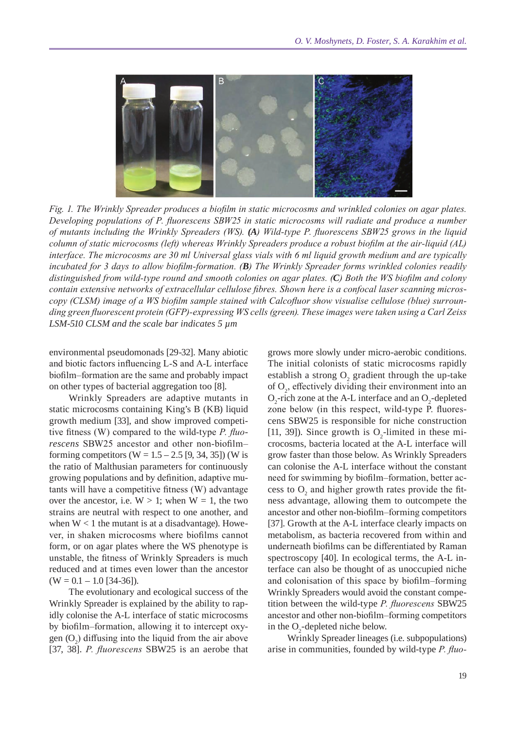

*Fig. 1. The Wrinkly Spreader produces a biofilm in static microcosms and wrinkled colonies on agar plates. Developing populations of P. fluorescens SBW25 in static microcosms will radiate and produce a number of mutants including the Wrinkly Spreaders (WS). (A) Wild-type P. fluorescens SBW25 grows in the liquid column of static microcosms (left) whereas Wrinkly Spreaders produce a robust biofilm at the air-liquid (AL) interface. The microcosms are 30 ml Universal glass vials with 6 ml liquid growth medium and are typically incubated for 3 days to allow biofilm-formation. (B) The Wrinkly Spreader forms wrinkled colonies readily distinguished from wild-type round and smooth colonies on agar plates. (C) Both the WS biofilm and colony contain extensive networks of extracellular cellulose fibres. Shown here is a confocal laser scanning microscopy (CLSM) image of a WS biofilm sample stained with Calcofluor show visualise cellulose (blue) surrounding green fluorescent protein (GFP)-expressing WS cells (green). These images were taken using a Carl Zeiss LSM-510 CLSM and the scale bar indicates 5 µm*

environmental pseudomonads [29-32]. Many abiotic and biotic factors influencing L-S and A-L interface biofilm–formation are the same and probably impact on other types of bacterial aggregation too [8].

Wrinkly Spreaders are adaptive mutants in static microcosms containing King's B (KB) liquid growth medium [33], and show improved competitive fitness (W) compared to the wild-type *P. fluorescens* SBW25 ancestor and other non-biofilm– forming competitors (W =  $1.5 - 2.5$  [9, 34, 35]) (W is the ratio of Malthusian parameters for continuously growing populations and by definition, adaptive mutants will have a competitive fitness (W) advantage over the ancestor, i.e.  $W > 1$ ; when  $W = 1$ , the two strains are neutral with respect to one another, and when  $W < 1$  the mutant is at a disadvantage). However, in shaken microcosms where biofilms cannot form, or on agar plates where the WS phenotype is unstable, the fitness of Wrinkly Spreaders is much reduced and at times even lower than the ancestor  $(W = 0.1 - 1.0 [34-36]).$ 

The evolutionary and ecological success of the Wrinkly Spreader is explained by the ability to rapidly colonise the A-L interface of static microcosms by biofilm–formation, allowing it to intercept oxygen  $(O_2)$  diffusing into the liquid from the air above [37, 38]. *P. fluorescens* SBW25 is an aerobe that

grows more slowly under micro-aerobic conditions. The initial colonists of static microcosms rapidly establish a strong  $O_2$  gradient through the up-take of  $O_2$ , effectively dividing their environment into an  $O_2$ -rich zone at the A-L interface and an  $O_2$ -depleted zone below (in this respect, wild-type P. fluorescens SBW25 is responsible for niche construction [11, 39]). Since growth is  $O_2$ -limited in these microcosms, bacteria located at the A-L interface will grow faster than those below. As Wrinkly Spreaders can colonise the A-L interface without the constant need for swimming by biofilm–formation, better access to  $O_2$  and higher growth rates provide the fitness advantage, allowing them to outcompete the ancestor and other non-biofilm–forming competitors [37]. Growth at the A-L interface clearly impacts on metabolism, as bacteria recovered from within and underneath biofilms can be differentiated by Raman spectroscopy [40]. In ecological terms, the A-L interface can also be thought of as unoccupied niche and colonisation of this space by biofilm–forming Wrinkly Spreaders would avoid the constant competition between the wild-type *P. fluorescens* SBW25 ancestor and other non-biofilm–forming competitors in the  $O_2$ -depleted niche below.

Wrinkly Spreader lineages (i.e. subpopulations) arise in communities, founded by wild-type *P. fluo-*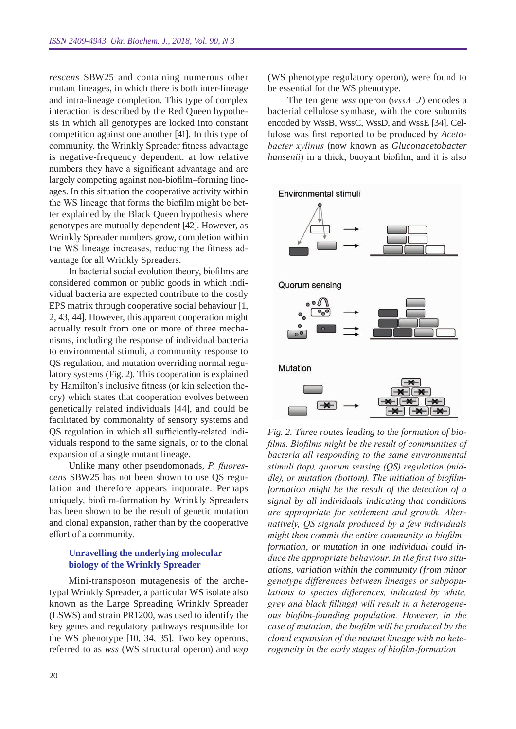*rescens* SBW25 and containing numerous other mutant lineages, in which there is both inter-lineage and intra-lineage completion. This type of complex interaction is described by the Red Queen hypothesis in which all genotypes are locked into constant competition against one another [41]. In this type of community, the Wrinkly Spreader fitness advantage is negative-frequency dependent: at low relative numbers they have a significant advantage and are largely competing against non-biofilm–forming lineages. In this situation the cooperative activity within the WS lineage that forms the biofilm might be better explained by the Black Queen hypothesis where genotypes are mutually dependent [42]. However, as Wrinkly Spreader numbers grow, completion within the WS lineage increases, reducing the fitness advantage for all Wrinkly Spreaders.

In bacterial social evolution theory, biofilms are considered common or public goods in which individual bacteria are expected contribute to the costly EPS matrix through cooperative social behaviour [1, 2, 43, 44]. However, this apparent cooperation might actually result from one or more of three mechanisms, including the response of individual bacteria to environmental stimuli, a community response to QS regulation, and mutation overriding normal regulatory systems (Fig. 2). This cooperation is explained by Hamilton's inclusive fitness (or kin selection theory) which states that cooperation evolves between genetically related individuals [44], and could be facilitated by commonality of sensory systems and QS regulation in which all sufficiently-related individuals respond to the same signals, or to the clonal expansion of a single mutant lineage.

Unlike many other pseudomonads, *P. fluorescens* SBW25 has not been shown to use QS regulation and therefore appears inquorate. Perhaps uniquely, biofilm-formation by Wrinkly Spreaders has been shown to be the result of genetic mutation and clonal expansion, rather than by the cooperative effort of a community.

### **Unravelling the underlying molecular biology of the Wrinkly Spreader**

Mini-transposon mutagenesis of the archetypal Wrinkly Spreader, a particular WS isolate also known as the Large Spreading Wrinkly Spreader (LSWS) and strain PR1200, was used to identify the key genes and regulatory pathways responsible for the WS phenotype [10, 34, 35]. Two key operons, referred to as *wss* (WS structural operon) and *wsp* 

(WS phenotype regulatory operon), were found to be essential for the WS phenotype.

The ten gene *wss* operon (*wssA–J*) encodes a bacterial cellulose synthase, with the core subunits encoded by WssB, WssC, WssD, and WssE [34]. Cellulose was first reported to be produced by *Acetobacter xylinus* (now known as *Gluconacetobacter hansenii*) in a thick, buoyant biofilm, and it is also



*Fig. 2. Three routes leading to the formation of biofilms. Biofilms might be the result of communities of bacteria all responding to the same environmental stimuli (top), quorum sensing (QS) regulation (middle), or mutation (bottom). The initiation of biofilmformation might be the result of the detection of a signal by all individuals indicating that conditions are appropriate for settlement and growth. Alternatively, QS signals produced by a few individuals might then commit the entire community to biofilm– formation, or mutation in one individual could induce the appropriate behaviour. In the first two situations, variation within the community (from minor genotype differences between lineages or subpopulations to species differences, indicated by white, grey and black fillings) will result in a heterogeneous biofilm-founding population. However, in the case of mutation, the biofilm will be produced by the clonal expansion of the mutant lineage with no heterogeneity in the early stages of biofilm-formation*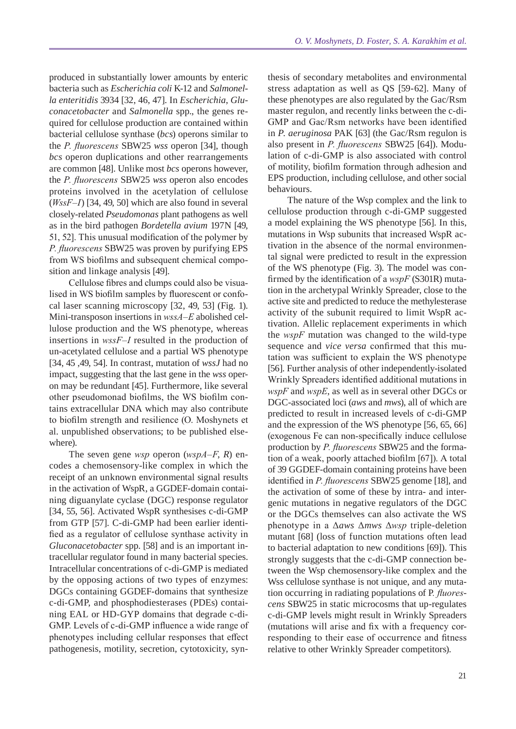produced in substantially lower amounts by enteric bacteria such as *Escherichia coli* K-12 and *Salmonella enteritidis* 3934 [32, 46, 47]. In *Escherichia*, *Gluconacetobacter* and *Salmonella* spp., the genes required for cellulose production are contained within bacterial cellulose synthase (*bcs*) operons similar to the *P. fluorescens* SBW25 *wss* operon [34], though *bcs* operon duplications and other rearrangements are common [48]. Unlike most *bcs* operons however, the *P. fluorescens* SBW25 *wss* operon also encodes proteins involved in the acetylation of cellulose (*WssF–I*) [34, 49, 50] which are also found in several closely-related *Pseudomonas* plant pathogens as well as in the bird pathogen *Bordetella avium* 197N [49, 51, 52]. This unusual modification of the polymer by *P. fluorescens* SBW25 was proven by purifying EPS from WS biofilms and subsequent chemical composition and linkage analysis [49].

Cellulose fibres and clumps could also be visualised in WS biofilm samples by fluorescent or confocal laser scanning microscopy [32, 49, 53] (Fig. 1). Mini-transposon insertions in *wssA–E* abolished cellulose production and the WS phenotype, whereas insertions in *wssF–I* resulted in the production of un-acetylated cellulose and a partial WS phenotype [34, 45 ,49, 54]. In contrast, mutation of *wssJ* had no impact, suggesting that the last gene in the *wss* operon may be redundant [45]. Furthermore, like several other pseudomonad biofilms, the WS biofilm contains extracellular DNA which may also contribute to biofilm strength and resilience (O. Moshynets et al. unpublished observations; to be published elsewhere).

The seven gene *wsp* operon (*wspA–F*, *R*) encodes a chemosensory-like complex in which the receipt of an unknown environmental signal results in the activation of WspR, a GGDEF-domain containing diguanylate cyclase (DGC) response regulator [34, 55, 56]. Activated WspR synthesises c-di-GMP from GTP [57]. C-di-GMP had been earlier identified as a regulator of cellulose synthase activity in *Gluconacetobacter* spp. [58] and is an important intracellular regulator found in many bacterial species. Intracellular concentrations of c-di-GMP is mediated by the opposing actions of two types of enzymes: DGCs containing GGDEF-domains that synthesize c-di-GMP, and phosphodiesterases (PDEs) containing EAL or HD-GYP domains that degrade c-di-GMP. Levels of c-di-GMP influence a wide range of phenotypes including cellular responses that effect pathogenesis, motility, secretion, cytotoxicity, syn-

thesis of secondary metabolites and environmental stress adaptation as well as QS [59-62]. Many of these phenotypes are also regulated by the Gac/Rsm master regulon, and recently links between the c-di-GMP and Gac/Rsm networks have been identified in *P. aeruginosa* PAK [63] (the Gac/Rsm regulon is also present in *P. fluorescens* SBW25 [64]). Modulation of c-di-GMP is also associated with control of motility, biofilm formation through adhesion and EPS production, including cellulose, and other social behaviours.

The nature of the Wsp complex and the link to cellulose production through c-di-GMP suggested a model explaining the WS phenotype [56]. In this, mutations in Wsp subunits that increased WspR activation in the absence of the normal environmental signal were predicted to result in the expression of the WS phenotype (Fig. 3). The model was confirmed by the identification of a *wspF* (S301R) mutation in the archetypal Wrinkly Spreader, close to the active site and predicted to reduce the methylesterase activity of the subunit required to limit WspR activation. Allelic replacement experiments in which the *wspF* mutation was changed to the wild-type sequence and *vice versa* confirmed that this mutation was sufficient to explain the WS phenotype [56]. Further analysis of other independently-isolated Wrinkly Spreaders identified additional mutations in *wspF* and *wspE*, as well as in several other DGCs or DGC-associated loci (*aws* and *mws*), all of which are predicted to result in increased levels of c-di-GMP and the expression of the WS phenotype [56, 65, 66] (exogenous Fe can non-specifically induce cellulose production by *P. fluorescens* SBW25 and the formation of a weak, poorly attached biofilm [67]). A total of 39 GGDEF-domain containing proteins have been identified in *P. fluorescens* SBW25 genome [18], and the activation of some of these by intra- and intergenic mutations in negative regulators of the DGC or the DGCs themselves can also activate the WS phenotype in a Δ*aws* Δ*mws* Δ*wsp* triple-deletion mutant [68] (loss of function mutations often lead to bacterial adaptation to new conditions [69]). This strongly suggests that the c-di-GMP connection between the Wsp chemosensory-like complex and the Wss cellulose synthase is not unique, and any mutation occurring in radiating populations of P*. fluorescens* SBW25 in static microcosms that up-regulates c-di-GMP levels might result in Wrinkly Spreaders (mutations will arise and fix with a frequency corresponding to their ease of occurrence and fitness relative to other Wrinkly Spreader competitors).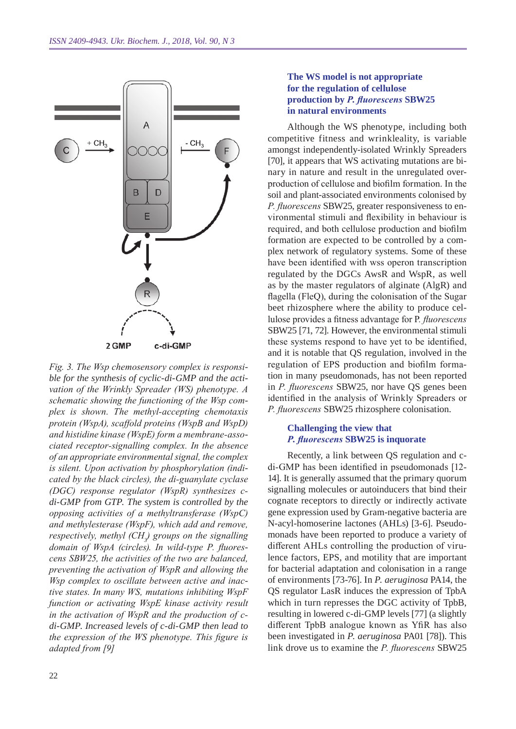

*Fig. 3. The Wsp chemosensory complex is responsible for the synthesis of cyclic-di-GMP and the activation of the Wrinkly Spreader (WS) phenotype. A schematic showing the functioning of the Wsp complex is shown. The methyl-accepting chemotaxis protein (WspA), scaffold proteins (WspB and WspD) and histidine kinase (WspE) form a membrane-associated receptor-signalling complex. In the absence of an appropriate environmental signal, the complex is silent. Upon activation by phosphorylation (indicated by the black circles), the di-guanylate cyclase (DGC) response regulator (WspR) synthesizes cdi-GMP from GTP. The system is controlled by the opposing activities of a methyltransferase (WspC) and methylesterase (WspF), which add and remove, respectively, methyl (CH<sup>3</sup> ) groups on the signalling domain of WspA (circles). In wild-type P. fluorescens SBW25, the activities of the two are balanced, preventing the activation of WspR and allowing the Wsp complex to oscillate between active and inactive states. In many WS, mutations inhibiting WspF function or activating WspE kinase activity result in the activation of WspR and the production of cdi-GMP. Increased levels of c-di-GMP then lead to the expression of the WS phenotype. This figure is adapted from [9]*

#### **The WS model is not appropriate for the regulation of cellulose production by** *P. fluorescens* **SBW25 in natural environments**

Although the WS phenotype, including both competitive fitness and wrinkleality, is variable amongst independently-isolated Wrinkly Spreaders [70], it appears that WS activating mutations are binary in nature and result in the unregulated overproduction of cellulose and biofilm formation. In the soil and plant-associated environments colonised by *P. fluorescens* SBW25, greater responsiveness to environmental stimuli and flexibility in behaviour is required, and both cellulose production and biofilm formation are expected to be controlled by a complex network of regulatory systems. Some of these have been identified with wss operon transcription regulated by the DGCs AwsR and WspR, as well as by the master regulators of alginate (AlgR) and flagella (FleQ), during the colonisation of the Sugar beet rhizosphere where the ability to produce cellulose provides a fitness advantage for P*. fluorescens*  SBW25 [71, 72]. However, the environmental stimuli these systems respond to have yet to be identified, and it is notable that QS regulation, involved in the regulation of EPS production and biofilm formation in many pseudomonads, has not been reported in *P. fluorescens* SBW25, nor have QS genes been identified in the analysis of Wrinkly Spreaders or *P. fluorescens* SBW25 rhizosphere colonisation.

#### **Challenging the view that**  *P. fluorescens* **SBW25 is inquorate**

Recently, a link between QS regulation and cdi-GMP has been identified in pseudomonads [12- 14]. It is generally assumed that the primary quorum signalling molecules or autoinducers that bind their cognate receptors to directly or indirectly activate gene expression used by Gram-negative bacteria are N-acyl-homoserine lactones (AHLs) [3-6]. Pseudomonads have been reported to produce a variety of different AHLs controlling the production of virulence factors, EPS, and motility that are important for bacterial adaptation and colonisation in a range of environments [73-76]. In *P. aeruginosa* PA14, the QS regulator LasR induces the expression of TpbA which in turn represses the DGC activity of TpbB, resulting in lowered c-di-GMP levels [77] (a slightly different TpbB analogue known as YfiR has also been investigated in *P. aeruginosa* PA01 [78]). This link drove us to examine the *P. fluorescens* SBW25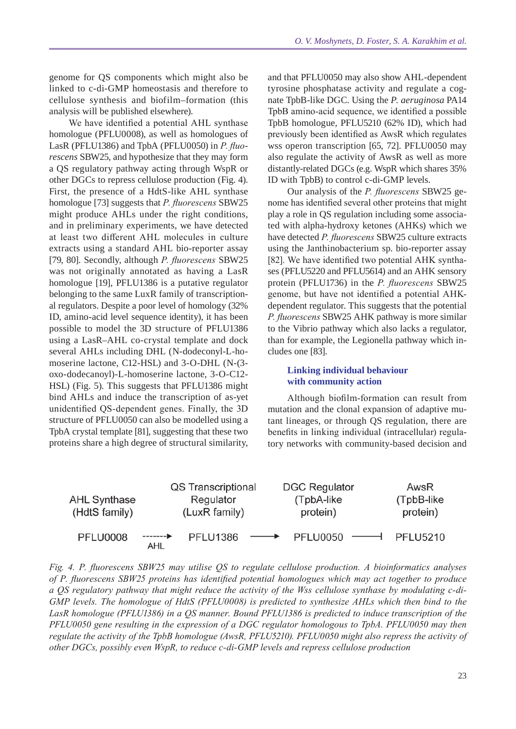genome for QS components which might also be linked to c-di-GMP homeostasis and therefore to cellulose synthesis and biofilm–formation (this analysis will be published elsewhere).

We have identified a potential AHL synthase homologue (PFLU0008), as well as homologues of LasR (PFLU1386) and TpbA (PFLU0050) in *P. fluorescens* SBW25, and hypothesize that they may form a QS regulatory pathway acting through WspR or other DGCs to repress cellulose production (Fig. 4). First, the presence of a HdtS-like AHL synthase homologue [73] suggests that *P. fluorescens* SBW25 might produce AHLs under the right conditions, and in preliminary experiments, we have detected at least two different AHL molecules in culture extracts using a standard AHL bio-reporter assay [79, 80]. Secondly, although *P. fluorescens* SBW25 was not originally annotated as having a LasR homologue [19], PFLU1386 is a putative regulator belonging to the same LuxR family of transcriptional regulators. Despite a poor level of homology (32% ID, amino-acid level sequence identity), it has been possible to model the 3D structure of PFLU1386 using a LasR–AHL co-crystal template and dock several AHLs including DHL (N-dodeconyl-L-homoserine lactone, C12-HSL) and 3-O-DHL (N-(3 oxo-dodecanoyl)-L-homoserine lactone, 3-O-C12- HSL) (Fig. 5). This suggests that PFLU1386 might bind AHLs and induce the transcription of as-yet unidentified QS-dependent genes. Finally, the 3D structure of PFLU0050 can also be modelled using a TpbA crystal template [81], suggesting that these two proteins share a high degree of structural similarity,

and that PFLU0050 may also show AHL-dependent tyrosine phosphatase activity and regulate a cognate TpbB-like DGC. Using the *P. aeruginosa* PA14 TpbB amino-acid sequence, we identified a possible TpbB homologue, PFLU5210 (62% ID), which had previously been identified as AwsR which regulates wss operon transcription [65, 72]. PFLU0050 may also regulate the activity of AwsR as well as more distantly-related DGCs (e.g. WspR which shares 35% ID with TpbB) to control c-di-GMP levels.

Our analysis of the *P. fluorescens* SBW25 genome has identified several other proteins that might play a role in QS regulation including some associated with alpha-hydroxy ketones (AHKs) which we have detected *P. fluorescens* SBW25 culture extracts using the Janthinobacterium sp. bio-reporter assay [82]. We have identified two potential AHK synthases (PFLU5220 and PFLU5614) and an AHK sensory protein (PFLU1736) in the *P. fluorescens* SBW25 genome, but have not identified a potential AHKdependent regulator. This suggests that the potential *P. fluorescens* SBW25 AHK pathway is more similar to the Vibrio pathway which also lacks a regulator, than for example, the Legionella pathway which includes one [83].

#### **Linking individual behaviour with community action**

Although biofilm-formation can result from mutation and the clonal expansion of adaptive mutant lineages, or through QS regulation, there are benefits in linking individual (intracellular) regulatory networks with community-based decision and

| <b>AHL Synthase</b><br>(HdtS family) | QS Transcriptional<br>Regulator<br>(LuxR family) |                 |                   | <b>DGC Regulator</b><br>(TpbA-like)<br>protein) |  | AwsR<br>(TpbB-like)<br>protein) |
|--------------------------------------|--------------------------------------------------|-----------------|-------------------|-------------------------------------------------|--|---------------------------------|
| <b>PFLU0008</b>                      | AHL                                              | <b>PFLU1386</b> | $\longrightarrow$ | $PFLU0050$ $\longrightarrow$                    |  | <b>PFLU5210</b>                 |

*Fig. 4. P. fluorescens SBW25 may utilise QS to regulate cellulose production. A bioinformatics analyses of P. fluorescens SBW25 proteins has identified potential homologues which may act together to produce a QS regulatory pathway that might reduce the activity of the Wss cellulose synthase by modulating c-di-GMP levels. The homologue of HdtS (PFLU0008) is predicted to synthesize AHLs which then bind to the LasR homologue (PFLU1386) in a QS manner. Bound PFLU1386 is predicted to induce transcription of the PFLU0050 gene resulting in the expression of a DGC regulator homologous to TpbA. PFLU0050 may then regulate the activity of the TpbB homologue (AwsR, PFLU5210). PFLU0050 might also repress the activity of other DGCs, possibly even WspR, to reduce c-di-GMP levels and repress cellulose production*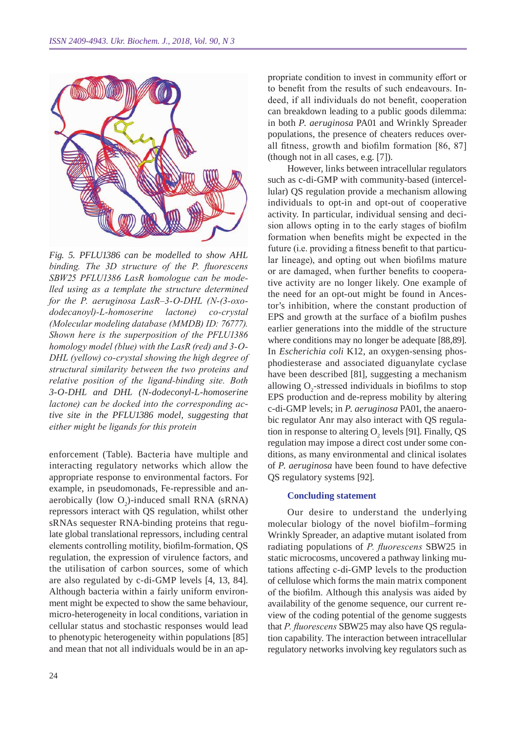

*Fig. 5. PFLU1386 can be modelled to show AHL binding. The 3D structure of the P. fluorescens SBW25 PFLU1386 LasR homologue can be modelled using as a template the structure determined for the P. aeruginosa LasR–3-O-DHL (N-(3-oxododecanoyl)-L-homoserine lactone) co-crystal (Molecular modeling database (MMDB) ID: 76777). Shown here is the superposition of the PFLU1386 homology model (blue) with the LasR (red) and 3-O-DHL (yellow) co-crystal showing the high degree of structural similarity between the two proteins and relative position of the ligand-binding site. Both 3-O-DHL and DHL (N-dodeconyl-L-homoserine lactone) can be docked into the corresponding active site in the PFLU1386 model, suggesting that either might be ligands for this protein*

enforcement (Table). Bacteria have multiple and interacting regulatory networks which allow the appropriate response to environmental factors. For example, in pseudomonads, Fe-repressible and anaerobically (low  $O_2$ )-induced small RNA (sRNA) repressors interact with QS regulation, whilst other sRNAs sequester RNA-binding proteins that regulate global translational repressors, including central elements controlling motility, biofilm-formation, QS regulation, the expression of virulence factors, and the utilisation of carbon sources, some of which are also regulated by c-di-GMP levels [4, 13, 84]. Although bacteria within a fairly uniform environment might be expected to show the same behaviour, micro-heterogeneity in local conditions, variation in cellular status and stochastic responses would lead to phenotypic heterogeneity within populations [85] and mean that not all individuals would be in an appropriate condition to invest in community effort or to benefit from the results of such endeavours. Indeed, if all individuals do not benefit, cooperation can breakdown leading to a public goods dilemma: in both *P. aeruginosa* PA01 and Wrinkly Spreader populations, the presence of cheaters reduces overall fitness, growth and biofilm formation [86, 87] (though not in all cases, e.g. [7]).

However, links between intracellular regulators such as c-di-GMP with community-based (intercellular) QS regulation provide a mechanism allowing individuals to opt-in and opt-out of cooperative activity. In particular, individual sensing and decision allows opting in to the early stages of biofilm formation when benefits might be expected in the future (i.e. providing a fitness benefit to that particular lineage), and opting out when biofilms mature or are damaged, when further benefits to cooperative activity are no longer likely. One example of the need for an opt-out might be found in Ancestor's inhibition, where the constant production of EPS and growth at the surface of a biofilm pushes earlier generations into the middle of the structure where conditions may no longer be adequate [88,89]. In *Escherichia coli* K12, an oxygen-sensing phosphodiesterase and associated diguanylate cyclase have been described [81], suggesting a mechanism allowing  $O_2$ -stressed individuals in biofilms to stop EPS production and de-repress mobility by altering c-di-GMP levels; in *P. aeruginosa* PA01, the anaerobic regulator Anr may also interact with QS regulation in response to altering  $O_2$  levels [91]. Finally, QS regulation may impose a direct cost under some conditions, as many environmental and clinical isolates of *P. aeruginosa* have been found to have defective QS regulatory systems [92].

#### **Concluding statement**

Our desire to understand the underlying molecular biology of the novel biofilm–forming Wrinkly Spreader, an adaptive mutant isolated from radiating populations of *P. fluorescens* SBW25 in static microcosms, uncovered a pathway linking mutations affecting c-di-GMP levels to the production of cellulose which forms the main matrix component of the biofilm. Although this analysis was aided by availability of the genome sequence, our current review of the coding potential of the genome suggests that *P. fluorescens* SBW25 may also have QS regulation capability. The interaction between intracellular regulatory networks involving key regulators such as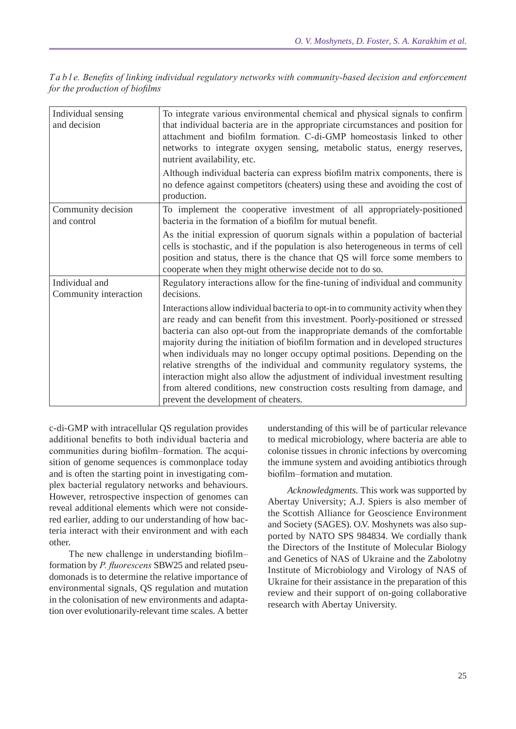| Ta ble. Benefits of linking individual regulatory networks with community-based decision and enforcement |  |  |
|----------------------------------------------------------------------------------------------------------|--|--|
| for the production of biofilms                                                                           |  |  |

| Individual sensing<br>and decision      | To integrate various environmental chemical and physical signals to confirm<br>that individual bacteria are in the appropriate circumstances and position for<br>attachment and biofilm formation. C-di-GMP homeostasis linked to other<br>networks to integrate oxygen sensing, metabolic status, energy reserves,<br>nutrient availability, etc.                                                                                                                                                                                                                                                                                                                                                     |
|-----------------------------------------|--------------------------------------------------------------------------------------------------------------------------------------------------------------------------------------------------------------------------------------------------------------------------------------------------------------------------------------------------------------------------------------------------------------------------------------------------------------------------------------------------------------------------------------------------------------------------------------------------------------------------------------------------------------------------------------------------------|
|                                         | Although individual bacteria can express biofilm matrix components, there is<br>no defence against competitors (cheaters) using these and avoiding the cost of<br>production.                                                                                                                                                                                                                                                                                                                                                                                                                                                                                                                          |
| Community decision<br>and control       | To implement the cooperative investment of all appropriately-positioned<br>bacteria in the formation of a biofilm for mutual benefit.                                                                                                                                                                                                                                                                                                                                                                                                                                                                                                                                                                  |
|                                         | As the initial expression of quorum signals within a population of bacterial<br>cells is stochastic, and if the population is also heterogeneous in terms of cell<br>position and status, there is the chance that QS will force some members to<br>cooperate when they might otherwise decide not to do so.                                                                                                                                                                                                                                                                                                                                                                                           |
| Individual and<br>Community interaction | Regulatory interactions allow for the fine-tuning of individual and community<br>decisions.                                                                                                                                                                                                                                                                                                                                                                                                                                                                                                                                                                                                            |
|                                         | Interactions allow individual bacteria to opt-in to community activity when they<br>are ready and can benefit from this investment. Poorly-positioned or stressed<br>bacteria can also opt-out from the inappropriate demands of the comfortable<br>majority during the initiation of biofilm formation and in developed structures<br>when individuals may no longer occupy optimal positions. Depending on the<br>relative strengths of the individual and community regulatory systems, the<br>interaction might also allow the adjustment of individual investment resulting<br>from altered conditions, new construction costs resulting from damage, and<br>prevent the development of cheaters. |

c-di-GMP with intracellular QS regulation provides additional benefits to both individual bacteria and communities during biofilm–formation. The acquisition of genome sequences is commonplace today and is often the starting point in investigating complex bacterial regulatory networks and behaviours. However, retrospective inspection of genomes can reveal additional elements which were not considered earlier, adding to our understanding of how bacteria interact with their environment and with each other.

The new challenge in understanding biofilm– formation by *P. fluorescens* SBW25 and related pseudomonads is to determine the relative importance of environmental signals, QS regulation and mutation in the colonisation of new environments and adaptation over evolutionarily-relevant time scales. A better

understanding of this will be of particular relevance to medical microbiology, where bacteria are able to colonise tissues in chronic infections by overcoming the immune system and avoiding antibiotics through biofilm–formation and mutation.

*Acknowledgments.* This work was supported by Abertay University; A.J. Spiers is also member of the Scottish Alliance for Geoscience Environment and Society (SAGES). O.V. Moshynets was also supported by NATO SPS 984834. We cordially thank the Directors of the Institute of Molecular Biology and Genetics of NAS of Ukraine and the Zabolotny Institute of Microbiology and Virology of NAS of Ukraine for their assistance in the preparation of this review and their support of on-going collaborative research with Abertay University.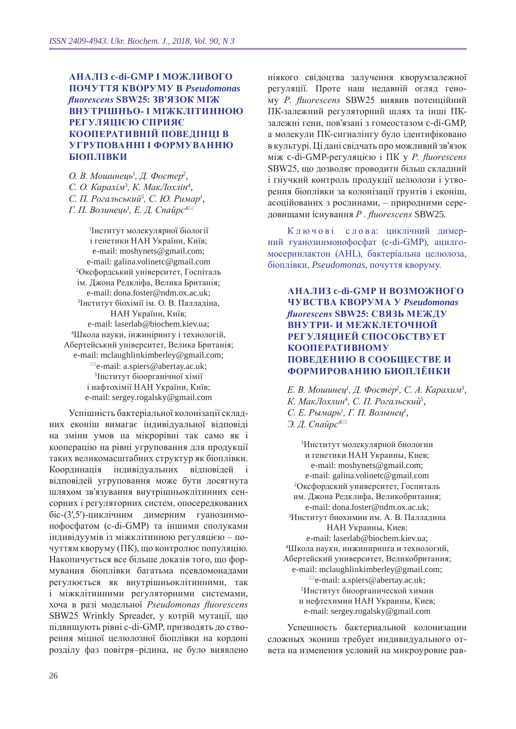## **Аналіз c-di-GMP і можливого почуття кворуму в** *Pseudomonas fluorescens* **SBW25: зв'язок між внутрішньо- і міжклітинною регуляцією сприяє кооперативній поведінці в угрупованні і формуванню біоплівки**

*О. В. Мошинець<sup>1</sup> , Д. Фостер<sup>2</sup> , С. О. Карахім<sup>3</sup> , К. МакЛохлін<sup>4</sup> , С. П. Рогальський<sup>5</sup> , С. Ю. Римар<sup>1</sup> , Г. П. Волинець<sup>1</sup> , Е. Д. Спайрс<sup>4</sup>*

1 Інститут молекулярної біології і генетики НАН України, Київ; e-mail: moshynets@gmail.com; e-mail: galina.volinetc@gmail.com 2 Оксфордcький університет, Госпіталь ім. Джона Редкліфа, Велика Британія; e-mail: dona.foster@ndm.ox.ac.uk; 3 Інститут біохімії ім. О. В. Палладіна, НАН України, Київ; e-mail: laserlab@biochem.kiev.ua; 4 Школа науки, інжинірингу і технологій, Абертейський університет, Велика Британія; e-mail: mclaughlinkimberley@gmail.com;  $\mathbb{E}_{e}$ -mail: a.spiers@abertay.ac.uk: 5 Інститут біоорганічної хімії і нафтохімії НАН України, Київ; e-mail: sergey.rogalsky@gmail.com

Успішність бактеріальної колонізації складних еконіш вимагає індивідуальної відповіді на зміни умов на мікрорівні так само як і кооперацію на рівні угруповання для продукції таких великомасштабних структур як біоплівки. Координація індивідуальних відповідей відповідей угруповання може бути досягнута шляхом зв'язування внутрішньоклітинних сенсорних і регуляторних систем, опосередкованих біс-(3′,5′)-циклічним димерним гуанозинмонофосфатом (c-di-GMP) та іншими сполуками індивідуумів із міжклітинною регуляцією – почуттям кворуму (ПК), що контролює популяцію. Накопичується все більше доказів того, що формування біоплівки багатьма псевдомонадами регулюється як внутрішньоклітинними, так і міжклітинними регуляторними системами, хоча в разі модельної *Pseudomonas fluorescens*  SBW25 Wrinkly Spreader, у котрій мутації, що підвищують рівні c-di-GMP, призводять до створення міцної целюлозної біоплівки на кордоні розділу фаз повітря–рідина, не було виявлено

ніякого свідоцтва залучення кворумзалежної регуляції. Проте наш недавній огляд геному *P. fluorescens* SBW25 виявив потенційний ПК-залежний регуляторний шлях та інші ПКзалежні гени, пов'язані з гомеостазом c-di-GMP, а молекули ПК-сигналінгу було ідентифіковано в культурі. Ці дані свідчать про можливий зв'язок між c-di-GMP-регуляцією і ПК у *P. fluorescens* SBW25, що дозволяє проводити більш складний і гнучкий контроль продукції целюлози і утворення біоплівки за колонізації ґрунтів і еконіш, асоційованих з рослинами, – природними середовищами існування *P . fluorescens* SBW25.

Ключові слова: циклічний димерний гуанозинмонофосфат (c-di-GMP), ацилгомосеринлактон (AHL), бактеріальна целюлоза, біоплівки, *Pseudomonas*, почуття кворуму.

**Анализ c-di-GMP и возможного чувства кворума у** *Pseudomonas fluorescens* **SBW25: связь между внутри- и межклеточной регуляцией способствует кооперативному поведению в сообществе и формированию биоплёнки**

*Е. В. Мошинец<sup>1</sup>, Д. Фостер<sup>2</sup>, С. А. Карахим<sup>3</sup>, К. МакЛохлин<sup>4</sup> , С. П. Рогальский<sup>5</sup> , С. Е. Рымарь<sup>1</sup> , Г. П. Волынец<sup>1</sup> , Э. Д. Спайрс<sup>4</sup>*

1 Институт молекулярной биологии и генетики НАН Украины, Киев; e-mail: moshynets@gmail.com; e-mail: galina.volinetc@gmail.com 2 Оксфордский университет, Госпиталь им. Джона Редклифа, Великобритания; e-mail: dona.foster@ndm.ox.ac.uk; 3 Институт биохимии им. А. В. Палладина НАН Украины, Киев; e-mail: laserlab@biochem.kiev.ua; 4 Школа науки, инжиниринга и технологий, Абертейский университет, Великобритания; e-mail: mclaughlinkimberley@gmail.com;  $\mathbb{E}_e$ -mail: a.spiers@abertay.ac.uk; 5 Институт биоорганической химии и нефтехимии НАН Украины, Киев; e-mail: sergey.rogalsky@gmail.com

Успешность бактериальной колонизации сложных экониш требует индивидуального ответа на изменения условий на микроуровне рав-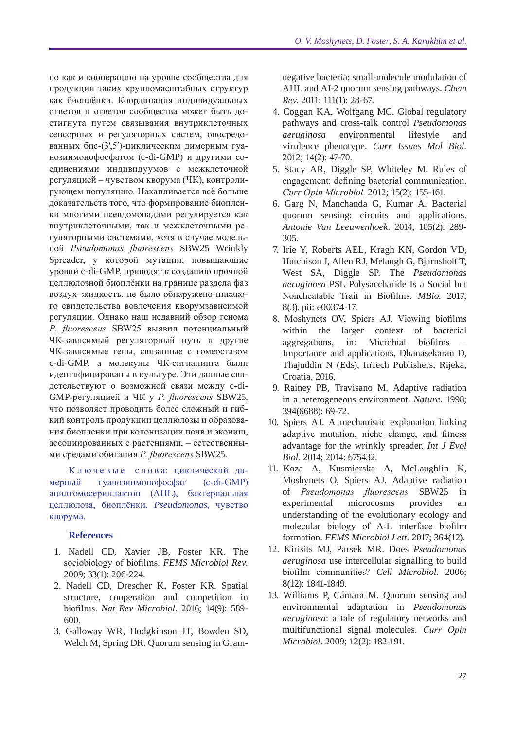но как и кооперацию на уровне сообщества для продукции таких крупномасштабных структур как биоплёнки. Координация индивидуальных ответов и ответов сообщества может быть достигнута путем связывания внутриклеточных сенсорных и регуляторных систем, опосредованных бис-(3′,5′)-циклическим димерным гуанозинмонофосфатом (c-di-GMP) и другими соединениями индивидуумов с межклеточной регуляцией – чувством кворума (ЧК), контролирующем популяцию. Накапливается всё больше доказательств того, что формирование биопленки многими псевдомонадами регулируется как внутриклеточными, так и межклеточными регуляторными системами, хотя в случае модельной *Pseudomonas fluorescens* SBW25 Wrinkly Spreader, у которой мутации, повышающие уровни c-di-GMP, приводят к созданию прочной целлюлозной биоплёнки на границе раздела фаз воздух–жидкость, не было обнаружено никакого свидетельства вовлечения кворумзависимой регуляции. Однако наш недавний обзор генома *P. fluorescens* SBW25 выявил потенциальный ЧК-зависимый регуляторный путь и другие ЧК-зависимые гены, связанные с гомеостазом c-di-GMP, а молекулы ЧК-сигналинга были идентифицированы в культуре. Эти данные свидетельствуют о возможной связи между c-di-GMP-регуляцией и ЧК у *P. fluorescens* SBW25, что позволяет проводить более сложный и гибкий контроль продукции целлюлозы и образования биопленки при колонизации почв и экониш, ассоциированных с растениями, – естественными средами обитания *P. fluorescens* SBW25.

К л ю ч е в ы е с л о в а: циклический димерный гуанозинмонофосфат (c-di-GMP) ацилгомосеринлактон (AHL), бактериальная целлюлоза, биоплёнки, *Pseudomonas*, чувство кворума.

## **References**

- 1. Nadell CD, Xavier JB, Foster KR. The sociobiology of biofilms. *FEMS Microbiol Rev.*  2009; 33(1): 206-224.
- 2. Nadell CD, Drescher K, Foster KR. Spatial structure, cooperation and competition in biofilms. *Nat Rev Microbiol.* 2016; 14(9): 589- 600.
- 3. Galloway WR, Hodgkinson JT, Bowden SD, Welch M, Spring DR. Quorum sensing in Gram-

negative bacteria: small-molecule modulation of AHL and AI-2 quorum sensing pathways. *Chem Rev.* 2011; 111(1): 28-67.

- 4. Coggan KA, Wolfgang MC. Global regulatory pathways and cross-talk control *Pseudomonas aeruginosa* environmental lifestyle and virulence phenotype. *Curr Issues Mol Biol.*  2012; 14(2): 47-70.
- 5. Stacy AR, Diggle SP, Whiteley M. Rules of engagement: defining bacterial communication. *Curr Opin Microbiol.* 2012; 15(2): 155-161.
- 6. Garg N, Manchanda G, Kumar A. Bacterial quorum sensing: circuits and applications. *Antonie Van Leeuwenhoek.* 2014; 105(2): 289- 305.
- 7. Irie Y, Roberts AEL, Kragh KN, Gordon VD, Hutchison J, Allen RJ, Melaugh G, Bjarnsholt T, West SA, Diggle SP. The *Pseudomonas aeruginosa* PSL Polysaccharide Is a Social but Noncheatable Trait in Biofilms. *MBio.* 2017; 8(3). pii: e00374-17.
- 8. Moshynets OV, Spiers AJ. Viewing biofilms within the larger context of bacterial aggregations, in: Microbial biofilms – Importance and applications, Dhanasekaran D, Thajuddin N (Eds), InTech Publishers, Rijeka, Croatia, 2016.
- 9. Rainey PB, Travisano M. Adaptive radiation in a heterogeneous environment. *Nature.* 1998; 394(6688): 69-72.
- 10. Spiers AJ. A mechanistic explanation linking adaptive mutation, niche change, and fitness advantage for the wrinkly spreader. *Int J Evol Biol.* 2014; 2014: 675432.
- 11. Koza A, Kusmierska A, McLaughlin K, Moshynets O, Spiers AJ. Adaptive radiation of *Pseudomonas fluorescens* SBW25 in experimental microcosms provides an understanding of the evolutionary ecology and molecular biology of A-L interface biofilm formation. *FEMS Microbiol Lett.* 2017; 364(12).
- 12. Kirisits MJ, Parsek MR. Does *Pseudomonas aeruginosa* use intercellular signalling to build biofilm communities? *Cell Microbiol.* 2006; 8(12): 1841-1849.
- 13. Williams P, Cámara M. Quorum sensing and environmental adaptation in *Pseudomonas aeruginosa*: a tale of regulatory networks and multifunctional signal molecules. *Curr Opin Microbiol.* 2009; 12(2): 182-191.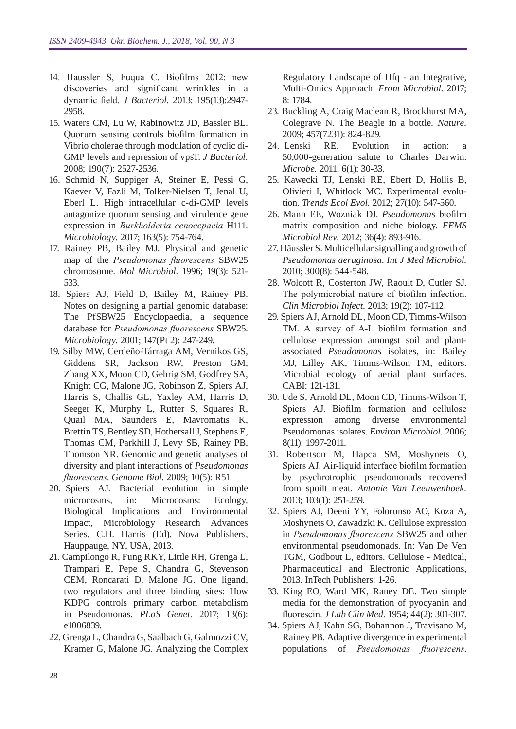- 14. Haussler S, Fuqua C. Biofilms 2012: new discoveries and significant wrinkles in a dynamic field. *J Bacteriol.* 2013; 195(13):2947- 2958.
- 15. Waters CM, Lu W, Rabinowitz JD, Bassler BL. Quorum sensing controls biofilm formation in Vibrio cholerae through modulation of cyclic di-GMP levels and repression of vpsT. *J Bacteriol.*  2008; 190(7): 2527-2536.
- 16. Schmid N, Suppiger A, Steiner E, Pessi G, Kaever V, Fazli M, Tolker-Nielsen T, Jenal U, Eberl L. High intracellular c-di-GMP levels antagonize quorum sensing and virulence gene expression in *Burkholderia cenocepacia* H111. *Microbiology.* 2017; 163(5): 754-764.
- 17. Rainey PB, Bailey MJ. Physical and genetic map of the *Pseudomonas fluorescens* SBW25 chromosome. *Mol Microbiol.* 1996; 19(3): 521- 533.
- 18. Spiers AJ, Field D, Bailey M, Rainey PB. Notes on designing a partial genomic database: The PfSBW25 Encyclopaedia, a sequence database for *Pseudomonas fluorescens* SBW25. *Microbiology.* 2001; 147(Pt 2): 247-249.
- 19. Silby MW, Cerdeño-Tárraga AM, Vernikos GS, Giddens SR, Jackson RW, Preston GM, Zhang XX, Moon CD, Gehrig SM, Godfrey SA, Knight CG, Malone JG, Robinson Z, Spiers AJ, Harris S, Challis GL, Yaxley AM, Harris D, Seeger K, Murphy L, Rutter S, Squares R, Quail MA, Saunders E, Mavromatis K, Brettin TS, Bentley SD, Hothersall J, Stephens E, Thomas CM, Parkhill J, Levy SB, Rainey PB, Thomson NR. Genomic and genetic analyses of diversity and plant interactions of *Pseudomonas fluorescens*. *Genome Biol.* 2009; 10(5): R51.
- 20. Spiers AJ. Bacterial evolution in simple microcosms, in: Microcosms: Ecology, Biological Implications and Environmental Impact, Microbiology Research Advances Series, C.H. Harris (Ed), Nova Publishers, Hauppauge, NY, USA, 2013.
- 21. Campilongo R, Fung RKY, Little RH, Grenga L, Trampari E, Pepe S, Chandra G, Stevenson CEM, Roncarati D, Malone JG. One ligand, two regulators and three binding sites: How KDPG controls primary carbon metabolism in Pseudomonas. *PLoS Genet.* 2017; 13(6): e1006839.
- 22. Grenga L, Chandra G, Saalbach G, Galmozzi CV, Kramer G, Malone JG. Analyzing the Complex

Regulatory Landscape of Hfq - an Integrative, Multi-Omics Approach. *Front Microbiol.* 2017; 8: 1784.

- 23. Buckling A, Craig Maclean R, Brockhurst MA, Colegrave N. The Beagle in a bottle. *Nature.*  2009; 457(7231): 824-829.
- 24. Lenski RE. Evolution in action: a 50,000-generation salute to Charles Darwin. *Microbe.* 2011; 6(1): 30-33.
- 25. Kawecki TJ, Lenski RE, Ebert D, Hollis B, Olivieri I, Whitlock MC. Experimental evolution. *Trends Ecol Evol.* 2012; 27(10): 547-560.
- 26. Mann EE, Wozniak DJ. *Pseudomonas* biofilm matrix composition and niche biology. *FEMS Microbiol Rev.* 2012; 36(4): 893-916.
- 27. Häussler S. Multicellular signalling and growth of *Pseudomonas aeruginosa*. *Int J Med Microbiol.*  2010; 300(8): 544-548.
- 28. Wolcott R, Costerton JW, Raoult D, Cutler SJ. The polymicrobial nature of biofilm infection. *Clin Microbiol Infect.* 2013; 19(2): 107-112.
- 29. Spiers AJ, Arnold DL, Moon CD, Timms-Wilson TM. A survey of A-L biofilm formation and cellulose expression amongst soil and plantassociated *Pseudomonas* isolates, in: Bailey MJ, Lilley AK, Timms-Wilson TM, editors. Microbial ecology of aerial plant surfaces. CABI: 121-131.
- 30. Ude S, Arnold DL, Moon CD, Timms-Wilson T, Spiers AJ. Biofilm formation and cellulose expression among diverse environmental Pseudomonas isolates. *Environ Microbiol.* 2006; 8(11): 1997-2011.
- 31. Robertson M, Hapca SM, Moshynets O, Spiers AJ. Air-liquid interface biofilm formation by psychrotrophic pseudomonads recovered from spoilt meat. *Antonie Van Leeuwenhoek.*  2013; 103(1): 251-259.
- 32. Spiers AJ, Deeni YY, Folorunso AO, Koza A, Moshynets O, Zawadzki K. Cellulose expression in *Pseudomonas fluorescens* SBW25 and other environmental pseudomonads. In: Van De Ven TGM, Godbout L, editors. Cellulose - Medical, Pharmaceutical and Electronic Applications, 2013. InTech Publishers: 1-26.
- 33. King EO, Ward MK, Raney DE. Two simple media for the demonstration of pyocyanin and fluorescin. *J Lab Clin Med.* 1954; 44(2): 301-307.
- 34. Spiers AJ, Kahn SG, Bohannon J, Travisano M, Rainey PB. Adaptive divergence in experimental populations of *Pseudomonas fluorescens*.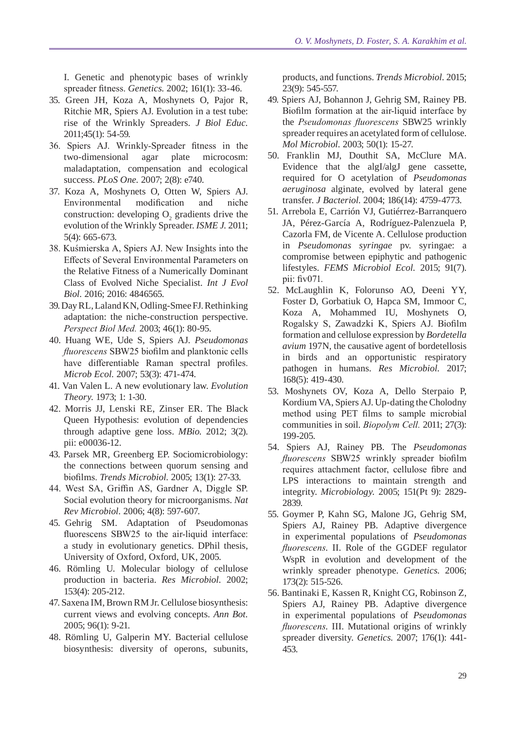I. Genetic and phenotypic bases of wrinkly spreader fitness. *Genetics.* 2002; 161(1): 33-46.

- 35. Green JH, Koza A, Moshynets O, Pajor R, Ritchie MR, Spiers AJ. Evolution in a test tube: rise of the Wrinkly Spreaders. *J Biol Educ.*  2011;45(1): 54-59.
- 36. Spiers AJ. Wrinkly-Spreader fitness in the two-dimensional agar plate microcosm: maladaptation, compensation and ecological success. *PLoS One.* 2007; 2(8): e740.
- 37. Koza A, Moshynets O, Otten W, Spiers AJ. Environmental modification and niche construction: developing  $O_2$  gradients drive the evolution of the Wrinkly Spreader. *ISME J.* 2011; 5(4): 665-673.
- 38. Kuśmierska A, Spiers AJ. New Insights into the Effects of Several Environmental Parameters on the Relative Fitness of a Numerically Dominant Class of Evolved Niche Specialist. *Int J Evol Biol.* 2016; 2016: 4846565.
- 39. Day RL, Laland KN, Odling-Smee FJ. Rethinking adaptation: the niche-construction perspective. *Perspect Biol Med.* 2003; 46(1): 80-95.
- 40. Huang WE, Ude S, Spiers AJ. *Pseudomonas fluorescens* SBW25 biofilm and planktonic cells have differentiable Raman spectral profiles. *Microb Ecol.* 2007; 53(3): 471-474.
- 41. Van Valen L. A new evolutionary law. *Evolution Theory.* 1973; 1: 1-30.
- 42. Morris JJ, Lenski RE, Zinser ER. The Black Queen Hypothesis: evolution of dependencies through adaptive gene loss. *MBio.* 2012; 3(2). pii: e00036-12.
- 43. Parsek MR, Greenberg EP. Sociomicrobiology: the connections between quorum sensing and biofilms. *Trends Microbiol.* 2005; 13(1): 27-33.
- 44. West SA, Griffin AS, Gardner A, Diggle SP. Social evolution theory for microorganisms. *Nat Rev Microbiol.* 2006; 4(8): 597-607.
- 45. Gehrig SM. Adaptation of Pseudomonas fluorescens SBW25 to the air-liquid interface: a study in evolutionary genetics. DPhil thesis, University of Oxford, Oxford, UK, 2005.
- 46. Römling U. Molecular biology of cellulose production in bacteria. *Res Microbiol.* 2002; 153(4): 205-212.
- 47. Saxena IM, Brown RM Jr. Cellulose biosynthesis: current views and evolving concepts. *Ann Bot.*  2005; 96(1): 9-21.
- 48. Römling U, Galperin MY. Bacterial cellulose biosynthesis: diversity of operons, subunits,

products, and functions. *Trends Microbiol.* 2015; 23(9): 545-557.

- 49. Spiers AJ, Bohannon J, Gehrig SM, Rainey PB. Biofilm formation at the air-liquid interface by the *Pseudomonas fluorescens* SBW25 wrinkly spreader requires an acetylated form of cellulose. *Mol Microbiol.* 2003; 50(1): 15-27.
- 50. Franklin MJ, Douthit SA, McClure MA. Evidence that the algI/algJ gene cassette, required for O acetylation of *Pseudomonas aeruginosa* alginate, evolved by lateral gene transfer. *J Bacteriol.* 2004; 186(14): 4759-4773.
- 51. Arrebola E, Carrión VJ, Gutiérrez-Barranquero JA, Pérez-García A, Rodríguez-Palenzuela P, Cazorla FM, de Vicente A. Cellulose production in *Pseudomonas syringae* pv. syringae: a compromise between epiphytic and pathogenic lifestyles. *FEMS Microbiol Ecol.* 2015; 91(7). pii: fiv071.
- 52. McLaughlin K, Folorunso AO, Deeni YY, Foster D, Gorbatiuk O, Hapca SM, Immoor C, Koza A, Mohammed IU, Moshynets O, Rogalsky S, Zawadzki K, Spiers AJ. Biofilm formation and cellulose expression by *Bordetella avium* 197N, the causative agent of bordetellosis in birds and an opportunistic respiratory pathogen in humans. *Res Microbiol.* 2017; 168(5): 419-430.
- 53. Moshynets OV, Koza A, Dello Sterpaio P, Kordium VA, Spiers AJ. Up-dating the Cholodny method using PET films to sample microbial communities in soil. *Biopolym Cell.* 2011; 27(3): 199-205.
- 54. Spiers AJ, Rainey PB. The *Pseudomonas fluorescens* SBW25 wrinkly spreader biofilm requires attachment factor, cellulose fibre and LPS interactions to maintain strength and integrity. *Microbiology.* 2005; 151(Pt 9): 2829- 2839.
- 55. Goymer P, Kahn SG, Malone JG, Gehrig SM, Spiers AJ, Rainey PB. Adaptive divergence in experimental populations of *Pseudomonas fluorescens*. II. Role of the GGDEF regulator WspR in evolution and development of the wrinkly spreader phenotype. *Genetics.* 2006; 173(2): 515-526.
- 56. Bantinaki E, Kassen R, Knight CG, Robinson Z, Spiers AJ, Rainey PB. Adaptive divergence in experimental populations of *Pseudomonas fluorescens*. III. Mutational origins of wrinkly spreader diversity. *Genetics.* 2007; 176(1): 441- 453.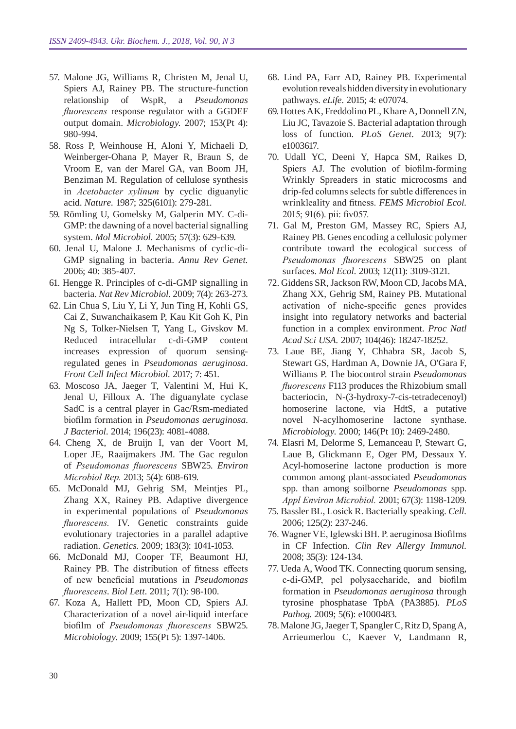- 57. Malone JG, Williams R, Christen M, Jenal U, Spiers AJ, Rainey PB. The structure-function relationship of WspR, a *Pseudomonas fluorescens* response regulator with a GGDEF output domain. *Microbiology.* 2007; 153(Pt 4): 980-994.
- 58. Ross P, Weinhouse H, Aloni Y, Michaeli D, Weinberger-Ohana P, Mayer R, Braun S, de Vroom E, van der Marel GA, van Boom JH, Benziman M. Regulation of cellulose synthesis in *Acetobacter xylinum* by cyclic diguanylic acid. *Nature.* 1987; 325(6101): 279-281.
- 59. Römling U, Gomelsky M, Galperin MY. C-di-GMP: the dawning of a novel bacterial signalling system. *Mol Microbiol.* 2005; 57(3): 629-639.
- 60. Jenal U, Malone J. Mechanisms of cyclic-di-GMP signaling in bacteria. *Annu Rev Genet.*  2006; 40: 385-407.
- 61. Hengge R. Principles of c-di-GMP signalling in bacteria. *Nat Rev Microbiol.* 2009; 7(4): 263-273.
- 62. Lin Chua S, Liu Y, Li Y, Jun Ting H, Kohli GS, Cai Z, Suwanchaikasem P, Kau Kit Goh K, Pin Ng S, Tolker-Nielsen T, Yang L, Givskov M. Reduced intracellular c-di-GMP content increases expression of quorum sensingregulated genes in *Pseudomonas aeruginosa*. *Front Cell Infect Microbiol.* 2017; 7: 451.
- 63. Moscoso JA, Jaeger T, Valentini M, Hui K, Jenal U, Filloux A. The diguanylate cyclase SadC is a central player in Gac/Rsm-mediated biofilm formation in *Pseudomonas aeruginosa*. *J Bacteriol.* 2014; 196(23): 4081-4088.
- 64. Cheng X, de Bruijn I, van der Voort M, Loper JE, Raaijmakers JM. The Gac regulon of *Pseudomonas fluorescens* SBW25. *Environ Microbiol Rep.* 2013; 5(4): 608-619.
- 65. McDonald MJ, Gehrig SM, Meintjes PL, Zhang XX, Rainey PB. Adaptive divergence in experimental populations of *Pseudomonas fluorescens.* IV. Genetic constraints guide evolutionary trajectories in a parallel adaptive radiation. *Genetics.* 2009; 183(3): 1041-1053.
- 66. McDonald MJ, Cooper TF, Beaumont HJ, Rainey PB. The distribution of fitness effects of new beneficial mutations in *Pseudomonas fluorescens*. *Biol Lett.* 2011; 7(1): 98-100.
- 67. Koza A, Hallett PD, Moon CD, Spiers AJ. Characterization of a novel air-liquid interface biofilm of *Pseudomonas fluorescens* SBW25. *Microbiology.* 2009; 155(Pt 5): 1397-1406.
- 68. Lind PA, Farr AD, Rainey PB. Experimental evolution reveals hidden diversity in evolutionary pathways. *eLife.* 2015; 4: e07074.
- 69. Hottes AK, Freddolino PL, Khare A, Donnell ZN, Liu JC, Tavazoie S. Bacterial adaptation through loss of function. *PLoS Genet.* 2013; 9(7): e1003617.
- 70. Udall YC, Deeni Y, Hapca SM, Raikes D, Spiers AJ. The evolution of biofilm-forming Wrinkly Spreaders in static microcosms and drip-fed columns selects for subtle differences in wrinkleality and fitness. *FEMS Microbiol Ecol.*  2015; 91(6). pii: fiv057.
- 71. Gal M, Preston GM, Massey RC, Spiers AJ, Rainey PB. Genes encoding a cellulosic polymer contribute toward the ecological success of *Pseudomonas fluorescens* SBW25 on plant surfaces. *Mol Ecol.* 2003; 12(11): 3109-3121.
- 72. Giddens SR, Jackson RW, Moon CD, Jacobs MA, Zhang XX, Gehrig SM, Rainey PB. Mutational activation of niche-specific genes provides insight into regulatory networks and bacterial function in a complex environment. *Proc Natl Acad Sci USA.* 2007; 104(46): 18247-18252.
- 73. Laue BE, Jiang Y, Chhabra SR, Jacob S, Stewart GS, Hardman A, Downie JA, O'Gara F, Williams P. The biocontrol strain *Pseudomonas fluorescens* F113 produces the Rhizobium small bacteriocin, N-(3-hydroxy-7-cis-tetradecenoyl) homoserine lactone, via HdtS, a putative novel N-acylhomoserine lactone synthase. *Microbiology.* 2000; 146(Pt 10): 2469-2480.
- 74. Elasri M, Delorme S, Lemanceau P, Stewart G, Laue B, Glickmann E, Oger PM, Dessaux Y. Acyl-homoserine lactone production is more common among plant-associated *Pseudomonas*  spp. than among soilborne *Pseudomonas* spp. *Appl Environ Microbiol.* 2001; 67(3): 1198-1209.
- 75. Bassler BL, Losick R. Bacterially speaking. *Cell.*  2006; 125(2): 237-246.
- 76. Wagner VE, Iglewski BH. P. aeruginosa Biofilms in CF Infection. *Clin Rev Allergy Immunol.*  2008; 35(3): 124-134.
- 77. Ueda A, Wood TK. Connecting quorum sensing, c-di-GMP, pel polysaccharide, and biofilm formation in *Pseudomonas aeruginosa* through tyrosine phosphatase TpbA (PA3885). *PLoS Pathog.* 2009; 5(6): e1000483.
- 78. Malone JG, Jaeger T, Spangler C, Ritz D, SpangA, Arrieumerlou C, Kaever V, Landmann R,